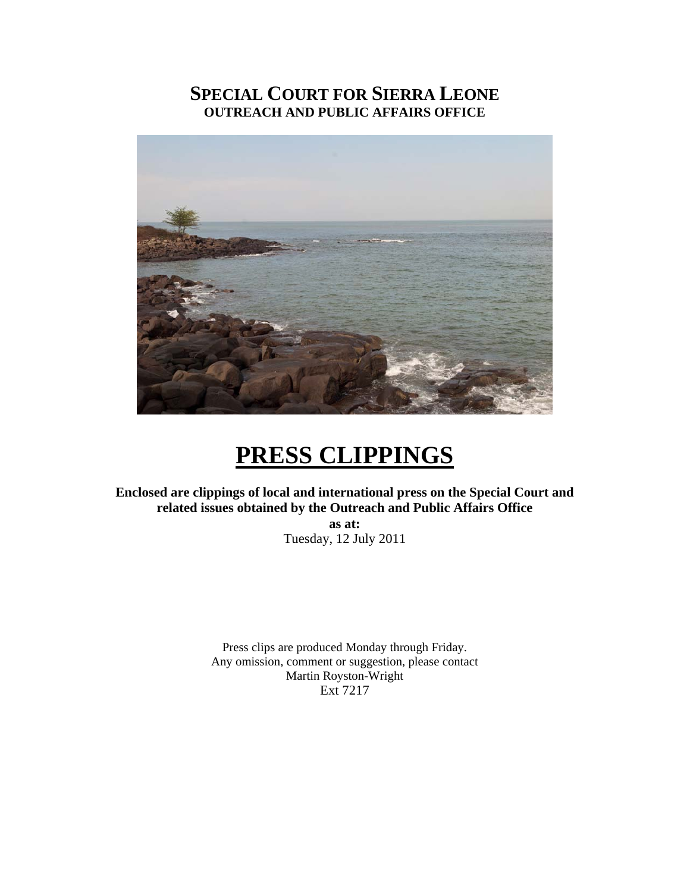### **SPECIAL COURT FOR SIERRA LEONE OUTREACH AND PUBLIC AFFAIRS OFFICE**



# **PRESS CLIPPINGS**

**Enclosed are clippings of local and international press on the Special Court and related issues obtained by the Outreach and Public Affairs Office** 

**as at:**  Tuesday, 12 July 2011

Press clips are produced Monday through Friday. Any omission, comment or suggestion, please contact Martin Royston-Wright Ext 7217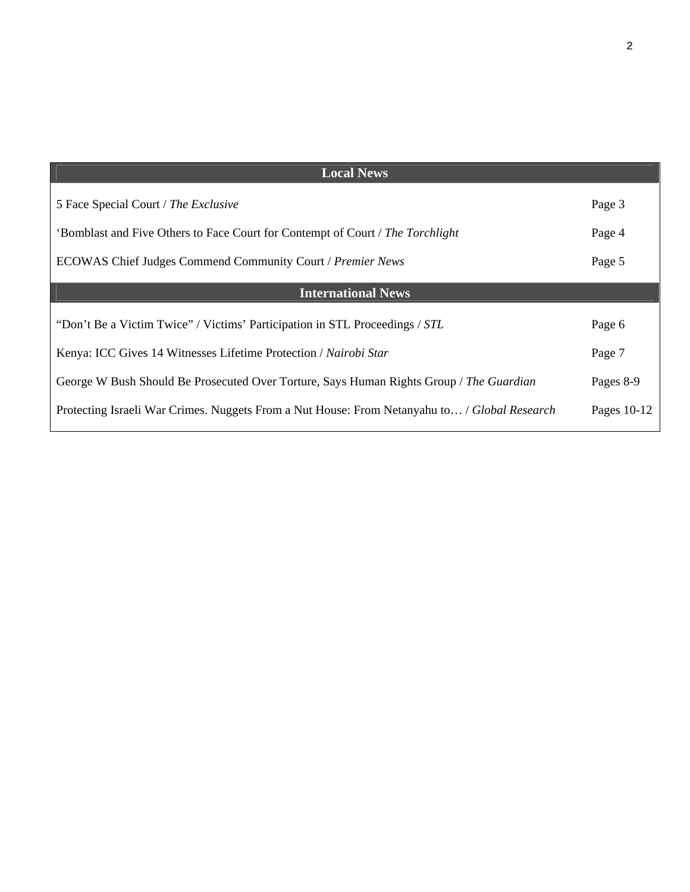| <b>Local News</b>                                                                            |               |
|----------------------------------------------------------------------------------------------|---------------|
| 5 Face Special Court / The Exclusive                                                         | Page 3        |
| 'Bomblast and Five Others to Face Court for Contempt of Court / The Torchlight               | Page 4        |
| ECOWAS Chief Judges Commend Community Court / Premier News                                   | Page 5        |
| <b>International News</b>                                                                    |               |
| "Don't Be a Victim Twice" / Victims' Participation in STL Proceedings / STL                  | Page 6        |
| Kenya: ICC Gives 14 Witnesses Lifetime Protection / Nairobi Star                             | Page 7        |
| George W Bush Should Be Prosecuted Over Torture, Says Human Rights Group / The Guardian      | Pages 8-9     |
| Protecting Israeli War Crimes. Nuggets From a Nut House: From Netanyahu to / Global Research | Pages $10-12$ |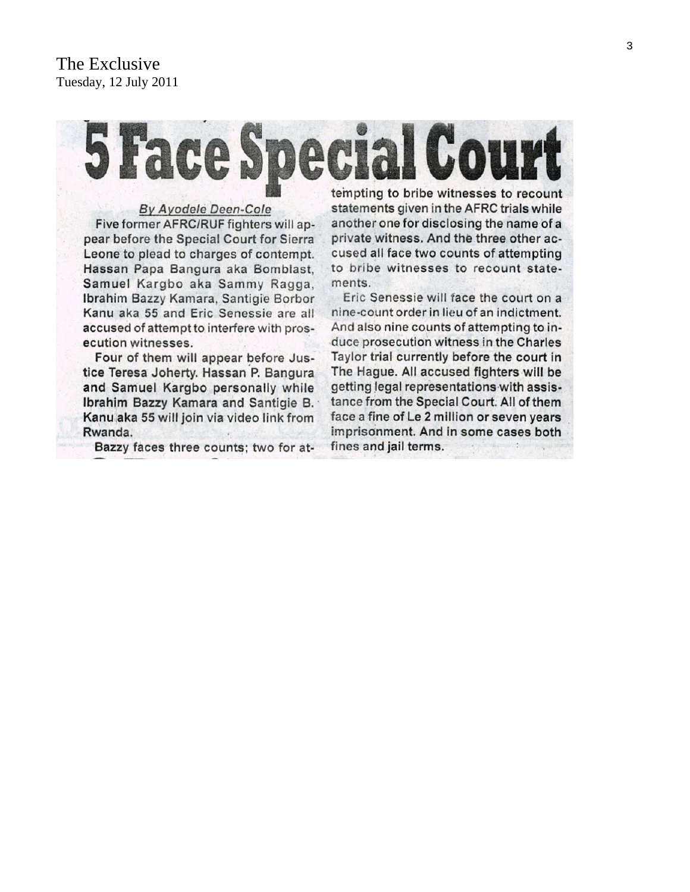# 5 Face Special Cour

By Ayodele Deen-Cole

Five former AFRC/RUF fighters will appear before the Special Court for Sierra Leone to plead to charges of contempt. Hassan Papa Bangura aka Bomblast. Samuel Kargbo aka Sammy Ragga, Ibrahim Bazzy Kamara, Santigie Borbor Kanu aka 55 and Eric Senessie are all accused of attempt to interfere with prosecution witnesses.

Four of them will appear before Justice Teresa Joherty. Hassan P. Bangura and Samuel Kargbo personally while Ibrahim Bazzy Kamara and Santigie B. Kanu aka 55 will join via video link from Rwanda.

Bazzy faces three counts; two for at-

tempting to bribe witnesses to recount statements given in the AFRC trials while another one for disclosing the name of a private witness. And the three other accused all face two counts of attempting to bribe witnesses to recount statements.

Eric Senessie will face the court on a nine-count order in lieu of an indictment. And also nine counts of attempting to induce prosecution witness in the Charles Taylor trial currently before the court in The Hague. All accused fighters will be getting legal representations with assistance from the Special Court. All of them face a fine of Le 2 million or seven years imprisonment. And in some cases both fines and jail terms.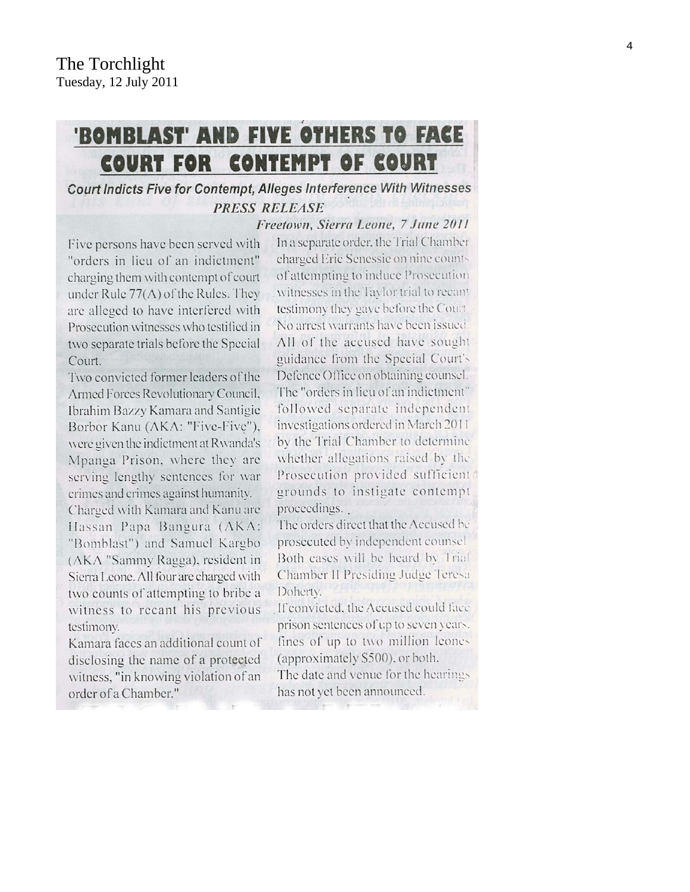## 'BOMBLAST' AND FIVE OTHERS TO FACE **COURT FOR CONTEMPT OF COURT**

#### Court Indicts Five for Contempt, Alleges Interference With Witnesses **PRESS RELEASE**

#### Freetown, Sierra Leone, 7 June 2011

Five persons have been served with "orders in lieu of an indictment" charging them with contempt of court under Rule  $77(A)$  of the Rules. They are alleged to have interfered with Prosecution witnesses who testified in two separate trials before the Special Court.

Two convicted former leaders of the Armed Forces Revolutionary Council, Ibrahim Bazzy Kamara and Santigie Borbor Kanu (AKA: "Five-Five"), were given the indictment at Rwanda's Mpanga Prison, where they are serving lengthy sentences for war crimes and crimes against humanity. Charged with Kamara and Kanu are Hassan Papa Bangura (AKA: "Bomblast") and Samuel Kargbo (AKA "Sammy Ragga), resident in Sierra Leone. All four are charged with two counts of attempting to bribe a witness to recant his previous testimony.

Kamara faces an additional count of disclosing the name of a protected witness, "in knowing violation of an order of a Chamber."

In a separate order, the Trial Chamber charged Eric Senessie on nine counts of attempting to induce Prosecution witnesses in the Taylor trial to recant testimony they gave before the Court. No arrest warrants have been issued. All of the accused have sought guidance from the Special Court's Defence Office on obtaining counsel. The "orders in lieu of an indictment" followed separate independent investigations ordered in March 2011 by the Trial Chamber to determine whether allegations raised by the Prosecution provided sufficient grounds to instigate contempt proceedings.

The orders direct that the Accused be prosecuted by independent counsel. Both cases will be heard by Trial Chamber II Presiding Judge Teresa Doherty.

If convicted, the Accused could face prison sentences of up to seven years. fines of up to two million leones (approximately \$500), or both. The date and venue for the hearings has not yet been announced.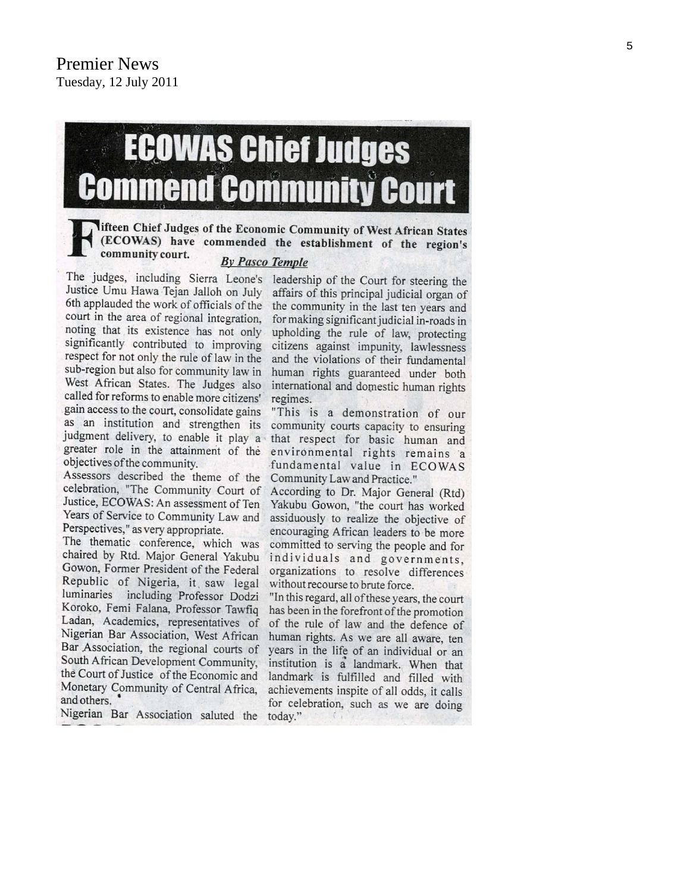# **ECOWAS Chief Judges** mend Communii

#### lifteen Chief Judges of the Economic Community of West African States (ECOWAS) have commended the establishment of the region's community court.

#### **By Pasco Temple**

Justice Umu Hawa Tejan Jalloh on July 6th applauded the work of officials of the court in the area of regional integration, noting that its existence has not only significantly contributed to improving respect for not only the rule of law in the sub-region but also for community law in West African States. The Judges also called for reforms to enable more citizens' gain access to the court, consolidate gains as an institution and strengthen its judgment delivery, to enable it play a that respect for basic human and greater role in the attainment of the objectives of the community.

Assessors described the theme of the celebration, "The Community Court of Justice, ECOWAS: An assessment of Ten Years of Service to Community Law and Perspectives," as very appropriate.

The thematic conference, which was chaired by Rtd. Major General Yakubu Gowon, Former President of the Federal Republic of Nigeria, it saw legal luminaries including Professor Dodzi Koroko, Femi Falana, Professor Tawfiq Ladan, Academics, representatives of Nigerian Bar Association, West African Bar Association, the regional courts of South African Development Community, the Court of Justice of the Economic and Monetary Community of Central Africa, and others.

Nigerian Bar Association saluted the today."

The judges, including Sierra Leone's leadership of the Court for steering the affairs of this principal judicial organ of the community in the last ten years and for making significant judicial in-roads in upholding the rule of law, protecting citizens against impunity, lawlessness and the violations of their fundamental human rights guaranteed under both international and domestic human rights regimes.

"This is a demonstration of our community courts capacity to ensuring environmental rights remains a fundamental value in ECOWAS Community Law and Practice."

According to Dr. Major General (Rtd) Yakubu Gowon, "the court has worked assiduously to realize the objective of encouraging African leaders to be more committed to serving the people and for individuals and governments, organizations to resolve differences without recourse to brute force.

"In this regard, all of these years, the court has been in the forefront of the promotion of the rule of law and the defence of human rights. As we are all aware, ten years in the life of an individual or an institution is a landmark. When that landmark is fulfilled and filled with achievements inspite of all odds, it calls for celebration, such as we are doing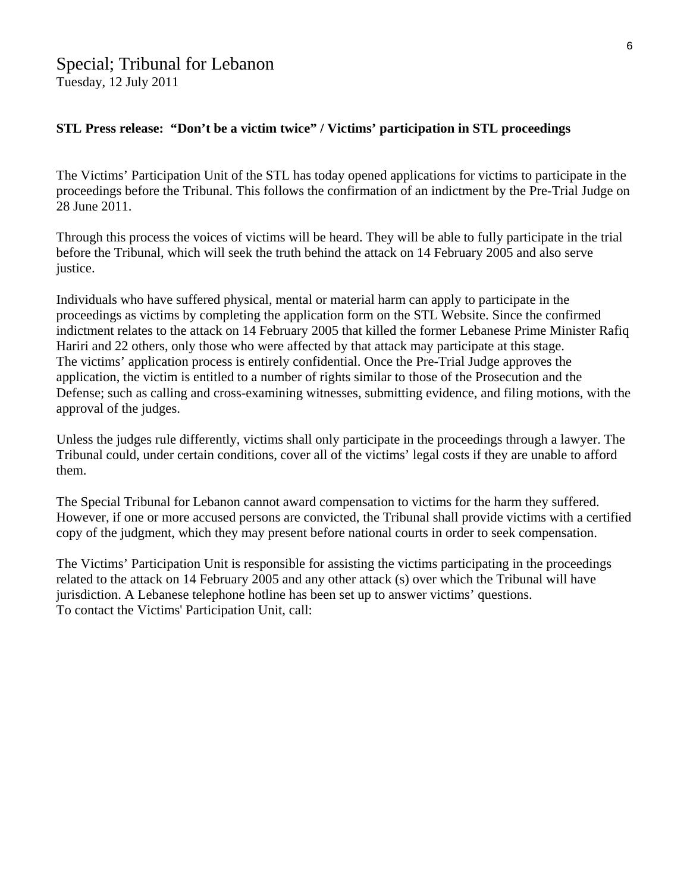#### **STL Press release: "Don't be a victim twice" / Victims' participation in STL proceedings**

The Victims' Participation Unit of the STL has today opened applications for victims to participate in the proceedings before the Tribunal. This follows the confirmation of an indictment by the Pre-Trial Judge on 28 June 2011.

Through this process the voices of victims will be heard. They will be able to fully participate in the trial before the Tribunal, which will seek the truth behind the attack on 14 February 2005 and also serve justice.

Individuals who have suffered physical, mental or material harm can apply to participate in the proceedings as victims by completing the application form on the STL Website. Since the confirmed indictment relates to the attack on 14 February 2005 that killed the former Lebanese Prime Minister Rafiq Hariri and 22 others, only those who were affected by that attack may participate at this stage. The victims' application process is entirely confidential. Once the Pre-Trial Judge approves the application, the victim is entitled to a number of rights similar to those of the Prosecution and the Defense; such as calling and cross-examining witnesses, submitting evidence, and filing motions, with the approval of the judges.

Unless the judges rule differently, victims shall only participate in the proceedings through a lawyer. The Tribunal could, under certain conditions, cover all of the victims' legal costs if they are unable to afford them.

The Special Tribunal for Lebanon cannot award compensation to victims for the harm they suffered. However, if one or more accused persons are convicted, the Tribunal shall provide victims with a certified copy of the judgment, which they may present before national courts in order to seek compensation.

The Victims' Participation Unit is responsible for assisting the victims participating in the proceedings related to the attack on 14 February 2005 and any other attack (s) over which the Tribunal will have jurisdiction. A Lebanese telephone hotline has been set up to answer victims' questions. To contact the Victims' Participation Unit, call: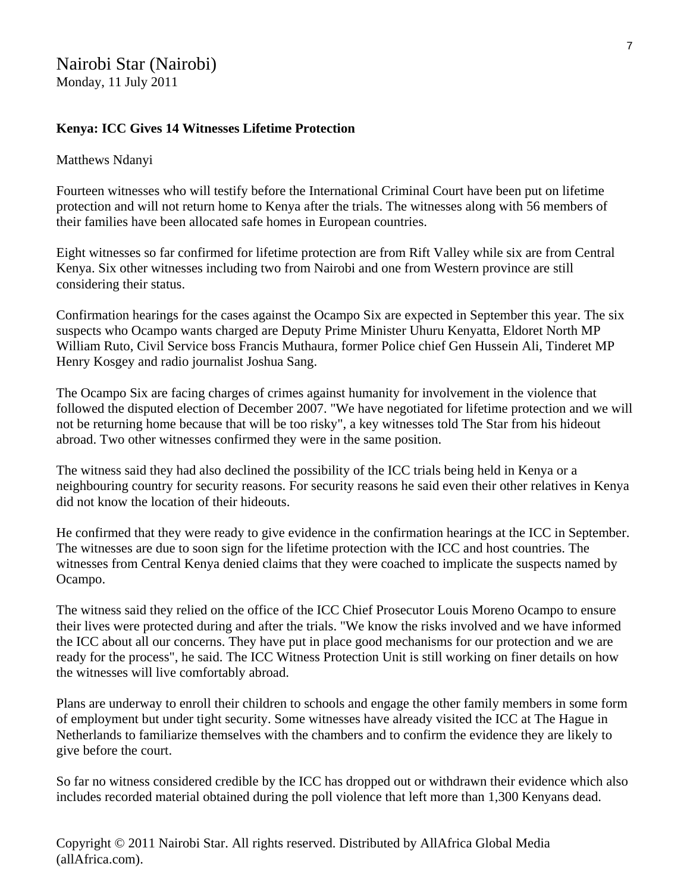#### **Kenya: ICC Gives 14 Witnesses Lifetime Protection**

Matthews Ndanyi

Fourteen witnesses who will testify before the International Criminal Court have been put on lifetime protection and will not return home to Kenya after the trials. The witnesses along with 56 members of their families have been allocated safe homes in European countries.

Eight witnesses so far confirmed for lifetime protection are from Rift Valley while six are from Central Kenya. Six other witnesses including two from Nairobi and one from Western province are still considering their status.

Confirmation hearings for the cases against the Ocampo Six are expected in September this year. The six suspects who Ocampo wants charged are Deputy Prime Minister Uhuru Kenyatta, Eldoret North MP William Ruto, Civil Service boss Francis Muthaura, former Police chief Gen Hussein Ali, Tinderet MP Henry Kosgey and radio journalist Joshua Sang.

The Ocampo Six are facing charges of crimes against humanity for involvement in the violence that followed the disputed election of December 2007. "We have negotiated for lifetime protection and we will not be returning home because that will be too risky", a key witnesses told The Star from his hideout abroad. Two other witnesses confirmed they were in the same position.

The witness said they had also declined the possibility of the ICC trials being held in Kenya or a neighbouring country for security reasons. For security reasons he said even their other relatives in Kenya did not know the location of their hideouts.

He confirmed that they were ready to give evidence in the confirmation hearings at the ICC in September. The witnesses are due to soon sign for the lifetime protection with the ICC and host countries. The witnesses from Central Kenya denied claims that they were coached to implicate the suspects named by Ocampo.

The witness said they relied on the office of the ICC Chief Prosecutor Louis Moreno Ocampo to ensure their lives were protected during and after the trials. "We know the risks involved and we have informed the ICC about all our concerns. They have put in place good mechanisms for our protection and we are ready for the process", he said. The ICC Witness Protection Unit is still working on finer details on how the witnesses will live comfortably abroad.

Plans are underway to enroll their children to schools and engage the other family members in some form of employment but under tight security. Some witnesses have already visited the ICC at The Hague in Netherlands to familiarize themselves with the chambers and to confirm the evidence they are likely to give before the court.

So far no witness considered credible by the ICC has dropped out or withdrawn their evidence which also includes recorded material obtained during the poll violence that left more than 1,300 Kenyans dead.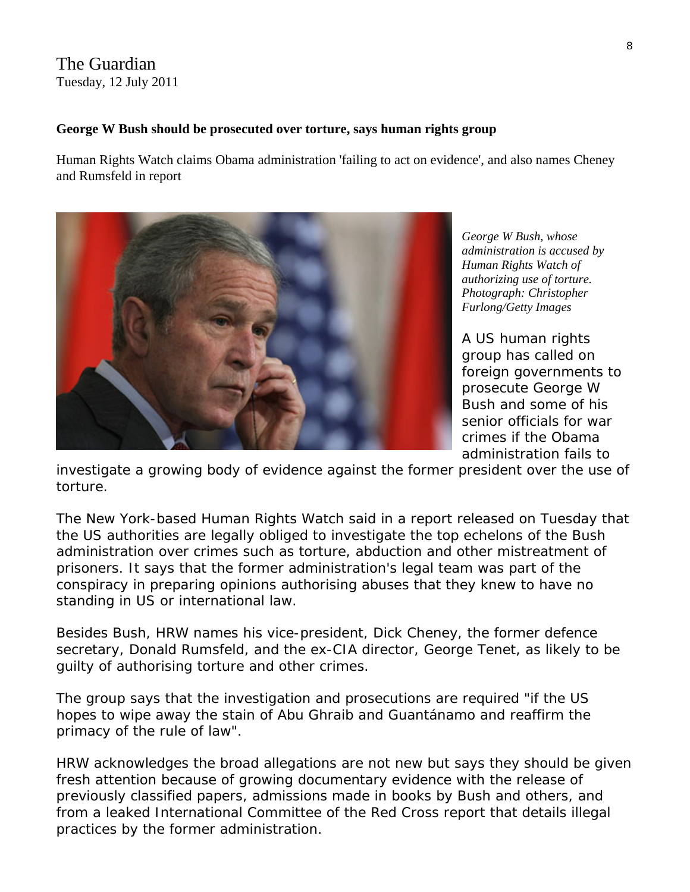#### The Guardian Tuesday, 12 July 2011

#### **George W Bush should be prosecuted over torture, says human rights group**

Human Rights Watch claims Obama administration 'failing to act on evidence', and also names Cheney and Rumsfeld in report



*George W Bush, whose administration is accused by Human Rights Watch of authorizing use of torture. Photograph: Christopher Furlong/Getty Images* 

A US [human rights](http://www.guardian.co.uk/law/human-rights) group has called on foreign governments to prosecute George W Bush and some of his senior officials for war crimes if the [Obama](http://www.guardian.co.uk/world/obama-administration)  [administration](http://www.guardian.co.uk/world/obama-administration) fails to

investigate a growing body of evidence against the former president over the use of [torture.](http://www.guardian.co.uk/law/torture)

The New York-based [Human Rights Watch said in a report](http://www.hrw.org/node/100263) released on Tuesday that the US authorities are legally obliged to investigate the top echelons of the Bush administration over crimes such as torture, abduction and other mistreatment of prisoners. It says that the former administration's legal team was part of the conspiracy in preparing opinions authorising abuses that they knew to have no standing in US or international law.

Besides Bush, HRW names his vice-president, [Dick Cheney](http://www.guardian.co.uk/world/dickcheney), the former defence secretary, [Donald Rumsfeld,](http://www.guardian.co.uk/world/donald-rumsfeld) and the ex-CIA director, George Tenet, as likely to be guilty of authorising torture and other crimes.

The group says that the investigation and prosecutions are required "if the US hopes to wipe away the stain of Abu Ghraib and Guantánamo and reaffirm the primacy of the rule of law".

HRW acknowledges the broad allegations are not new but says they should be given fresh attention because of growing documentary evidence with the release of previously classified papers, admissions made in books by Bush and others, and from a leaked International Committee of the Red Cross report that details illegal practices by the former administration.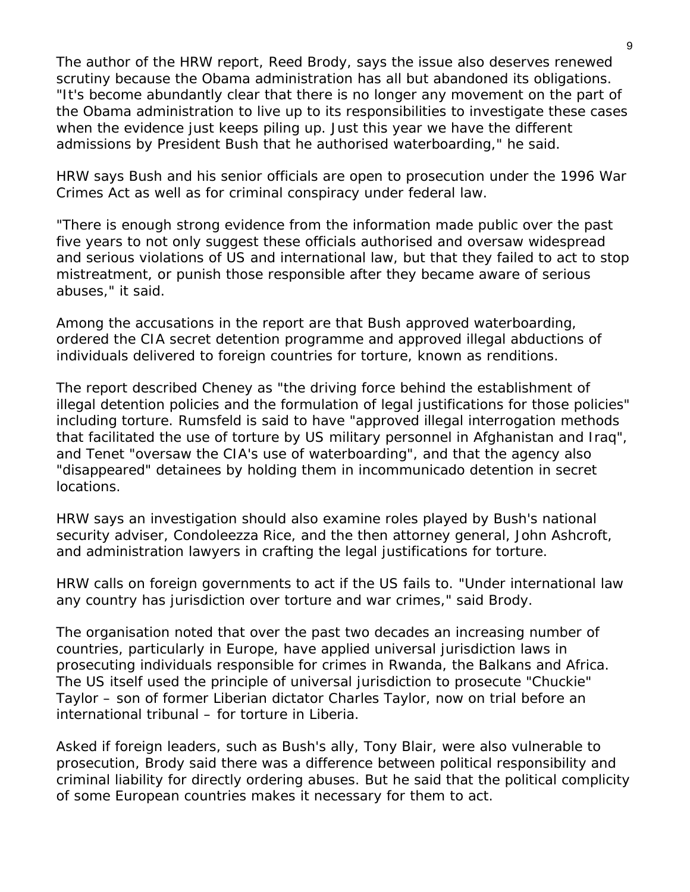The author of the HRW report, Reed Brody, says the issue also deserves renewed scrutiny because the Obama administration has all but abandoned its obligations. "It's become abundantly clear that there is no longer any movement on the part of the Obama administration to live up to its responsibilities to investigate these cases when the evidence just keeps piling up. Just this year we have the different admissions by President Bush that he authorised waterboarding," he said.

HRW says Bush and his senior officials are open to prosecution under the 1996 War Crimes Act as well as for criminal conspiracy under federal law.

"There is enough strong evidence from the information made public over the past five years to not only suggest these officials authorised and oversaw widespread and serious violations of US and international law, but that they failed to act to stop mistreatment, or punish those responsible after they became aware of serious abuses," it said.

Among the accusations in the report are that Bush approved waterboarding, ordered the CIA secret detention programme and approved illegal abductions of individuals delivered to foreign countries for torture, known as renditions.

The report described Cheney as "the driving force behind the establishment of illegal detention policies and the formulation of legal justifications for those policies" including torture. Rumsfeld is said to have "approved illegal interrogation methods that facilitated the use of torture by US military personnel in Afghanistan and Iraq", and Tenet "oversaw the CIA's use of waterboarding", and that the agency also "disappeared" detainees by holding them in incommunicado detention in secret locations.

HRW says an investigation should also examine roles played by Bush's national security adviser, Condoleezza Rice, and the then attorney general, John Ashcroft, and administration lawyers in crafting the legal justifications for torture.

HRW calls on foreign governments to act if the US fails to. "Under international law any country has jurisdiction over torture and war crimes," said Brody.

The organisation noted that over the past two decades an increasing number of countries, particularly in Europe, have applied universal jurisdiction laws in prosecuting individuals responsible for crimes in Rwanda, the Balkans and Africa. The US itself used the principle of universal jurisdiction to prosecute "Chuckie" Taylor – son of former Liberian dictator Charles Taylor, now on trial before an international tribunal – for torture in Liberia.

Asked if foreign leaders, such as Bush's ally, Tony Blair, were also vulnerable to prosecution, Brody said there was a difference between political responsibility and criminal liability for directly ordering abuses. But he said that the political complicity of some European countries makes it necessary for them to act.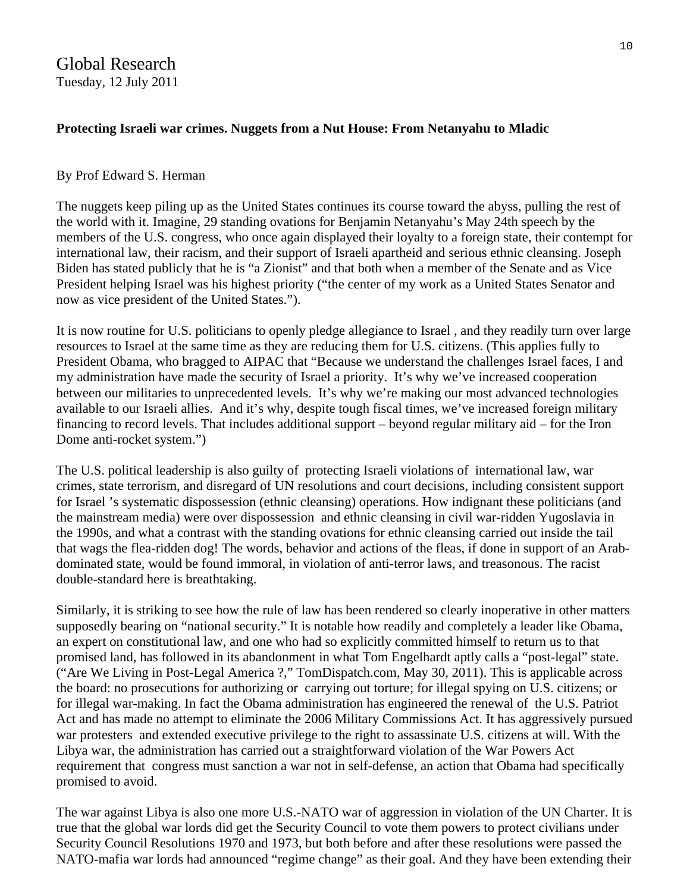Global Research Tuesday, 12 July 2011

#### **Protecting Israeli war crimes. Nuggets from a Nut House: From Netanyahu to Mladic**

#### By Prof Edward S. Herman

The nuggets keep piling up as the United States continues its course toward the abyss, pulling the rest of the world with it. Imagine, 29 standing ovations for Benjamin Netanyahu's May 24th speech by the members of the U.S. congress, who once again displayed their loyalty to a foreign state, their contempt for international law, their racism, and their support of Israeli apartheid and serious ethnic cleansing. Joseph Biden has stated publicly that he is "a Zionist" and that both when a member of the Senate and as Vice President helping Israel was his highest priority ("the center of my work as a United States Senator and now as vice president of the United States.").

It is now routine for U.S. politicians to openly pledge allegiance to Israel , and they readily turn over large resources to Israel at the same time as they are reducing them for U.S. citizens. (This applies fully to President Obama, who bragged to AIPAC that "Because we understand the challenges Israel faces, I and my administration have made the security of Israel a priority. It's why we've increased cooperation between our militaries to unprecedented levels. It's why we're making our most advanced technologies available to our Israeli allies. And it's why, despite tough fiscal times, we've increased foreign military financing to record levels. That includes additional support – beyond regular military aid – for the Iron Dome anti-rocket system.")

The U.S. political leadership is also guilty of protecting Israeli violations of international law, war crimes, state terrorism, and disregard of UN resolutions and court decisions, including consistent support for Israel 's systematic dispossession (ethnic cleansing) operations. How indignant these politicians (and the mainstream media) were over dispossession and ethnic cleansing in civil war-ridden Yugoslavia in the 1990s, and what a contrast with the standing ovations for ethnic cleansing carried out inside the tail that wags the flea-ridden dog! The words, behavior and actions of the fleas, if done in support of an Arabdominated state, would be found immoral, in violation of anti-terror laws, and treasonous. The racist double-standard here is breathtaking.

Similarly, it is striking to see how the rule of law has been rendered so clearly inoperative in other matters supposedly bearing on "national security." It is notable how readily and completely a leader like Obama, an expert on constitutional law, and one who had so explicitly committed himself to return us to that promised land, has followed in its abandonment in what Tom Engelhardt aptly calls a "post-legal" state. ("Are We Living in Post-Legal America ?," TomDispatch.com, May 30, 2011). This is applicable across the board: no prosecutions for authorizing or carrying out torture; for illegal spying on U.S. citizens; or for illegal war-making. In fact the Obama administration has engineered the renewal of the U.S. Patriot Act and has made no attempt to eliminate the 2006 Military Commissions Act. It has aggressively pursued war protesters and extended executive privilege to the right to assassinate U.S. citizens at will. With the Libya war, the administration has carried out a straightforward violation of the War Powers Act requirement that congress must sanction a war not in self-defense, an action that Obama had specifically promised to avoid.

The war against Libya is also one more U.S.-NATO war of aggression in violation of the UN Charter. It is true that the global war lords did get the Security Council to vote them powers to protect civilians under Security Council Resolutions 1970 and 1973, but both before and after these resolutions were passed the NATO-mafia war lords had announced "regime change" as their goal. And they have been extending their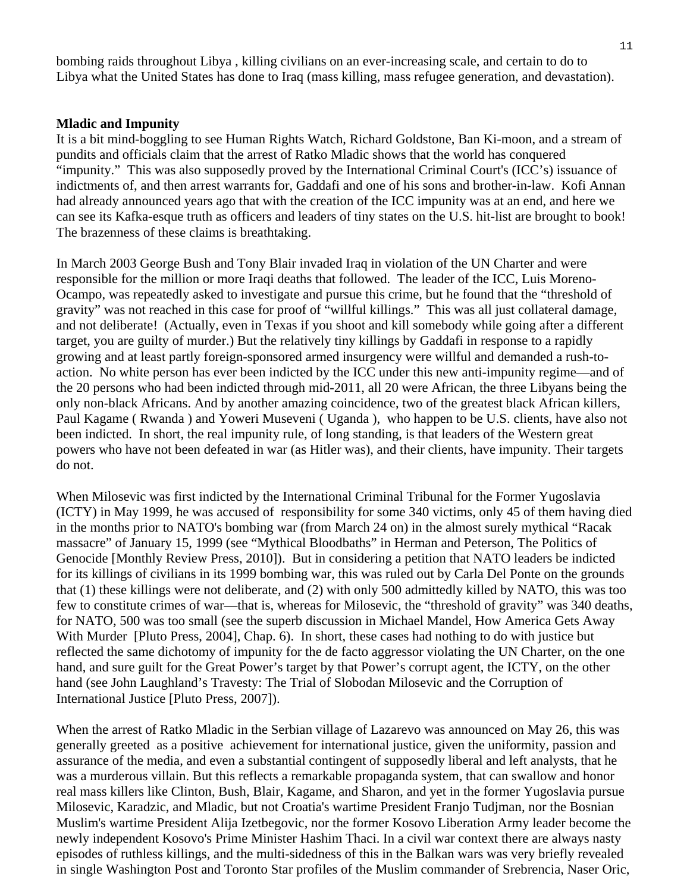bombing raids throughout Libya , killing civilians on an ever-increasing scale, and certain to do to Libya what the United States has done to Iraq (mass killing, mass refugee generation, and devastation).

#### **Mladic and Impunity**

It is a bit mind-boggling to see Human Rights Watch, Richard Goldstone, Ban Ki-moon, and a stream of pundits and officials claim that the arrest of Ratko Mladic shows that the world has conquered "impunity." This was also supposedly proved by the International Criminal Court's (ICC's) issuance of indictments of, and then arrest warrants for, Gaddafi and one of his sons and brother-in-law. Kofi Annan had already announced years ago that with the creation of the ICC impunity was at an end, and here we can see its Kafka-esque truth as officers and leaders of tiny states on the U.S. hit-list are brought to book! The brazenness of these claims is breathtaking.

In March 2003 George Bush and Tony Blair invaded Iraq in violation of the UN Charter and were responsible for the million or more Iraqi deaths that followed. The leader of the ICC, Luis Moreno-Ocampo, was repeatedly asked to investigate and pursue this crime, but he found that the "threshold of gravity" was not reached in this case for proof of "willful killings." This was all just collateral damage, and not deliberate! (Actually, even in Texas if you shoot and kill somebody while going after a different target, you are guilty of murder.) But the relatively tiny killings by Gaddafi in response to a rapidly growing and at least partly foreign-sponsored armed insurgency were willful and demanded a rush-toaction. No white person has ever been indicted by the ICC under this new anti-impunity regime—and of the 20 persons who had been indicted through mid-2011, all 20 were African, the three Libyans being the only non-black Africans. And by another amazing coincidence, two of the greatest black African killers, Paul Kagame ( Rwanda ) and Yoweri Museveni ( Uganda ), who happen to be U.S. clients, have also not been indicted. In short, the real impunity rule, of long standing, is that leaders of the Western great powers who have not been defeated in war (as Hitler was), and their clients, have impunity. Their targets do not.

When Milosevic was first indicted by the International Criminal Tribunal for the Former Yugoslavia (ICTY) in May 1999, he was accused of responsibility for some 340 victims, only 45 of them having died in the months prior to NATO's bombing war (from March 24 on) in the almost surely mythical "Racak massacre" of January 15, 1999 (see "Mythical Bloodbaths" in Herman and Peterson, The Politics of Genocide [Monthly Review Press, 2010]). But in considering a petition that NATO leaders be indicted for its killings of civilians in its 1999 bombing war, this was ruled out by Carla Del Ponte on the grounds that (1) these killings were not deliberate, and (2) with only 500 admittedly killed by NATO, this was too few to constitute crimes of war—that is, whereas for Milosevic, the "threshold of gravity" was 340 deaths, for NATO, 500 was too small (see the superb discussion in Michael Mandel, How America Gets Away With Murder [Pluto Press, 2004], Chap. 6). In short, these cases had nothing to do with justice but reflected the same dichotomy of impunity for the de facto aggressor violating the UN Charter, on the one hand, and sure guilt for the Great Power's target by that Power's corrupt agent, the ICTY, on the other hand (see John Laughland's Travesty: The Trial of Slobodan Milosevic and the Corruption of International Justice [Pluto Press, 2007]).

When the arrest of Ratko Mladic in the Serbian village of Lazarevo was announced on May 26, this was generally greeted as a positive achievement for international justice, given the uniformity, passion and assurance of the media, and even a substantial contingent of supposedly liberal and left analysts, that he was a murderous villain. But this reflects a remarkable propaganda system, that can swallow and honor real mass killers like Clinton, Bush, Blair, Kagame, and Sharon, and yet in the former Yugoslavia pursue Milosevic, Karadzic, and Mladic, but not Croatia's wartime President Franjo Tudjman, nor the Bosnian Muslim's wartime President Alija Izetbegovic, nor the former Kosovo Liberation Army leader become the newly independent Kosovo's Prime Minister Hashim Thaci. In a civil war context there are always nasty episodes of ruthless killings, and the multi-sidedness of this in the Balkan wars was very briefly revealed in single Washington Post and Toronto Star profiles of the Muslim commander of Srebrencia, Naser Oric,